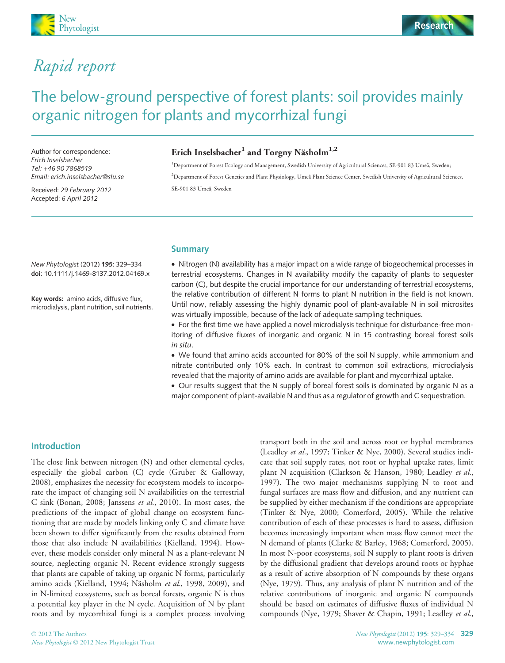

# Rapid report

# The below-ground perspective of forest plants: soil provides mainly organic nitrogen for plants and mycorrhizal fungi

Author for correspondence: Erich Inselsbacher Tel: +46 90 7868519 Email: erich.inselsbacher@slu.se

Received: 29 February 2012 Accepted: 6 April 2012

# Erich Inselsbacher<sup>1</sup> and Torgny Näsholm<sup>1,2</sup>

<sup>1</sup>Department of Forest Ecology and Management, Swedish University of Agricultural Sciences, SE-901 83 Umeå, Sweden; <sup>2</sup>Department of Forest Genetics and Plant Physiology, Umeå Plant Science Center, Swedish University of Agricultural Sciences, SE-901 83 Umeå, Sweden

Summary

New Phytologist (2012) 195: 329–334 doi: 10.1111/j.1469-8137.2012.04169.x

Key words: amino acids, diffusive flux, microdialysis, plant nutrition, soil nutrients. • Nitrogen (N) availability has a major impact on a wide range of biogeochemical processes in terrestrial ecosystems. Changes in N availability modify the capacity of plants to sequester carbon (C), but despite the crucial importance for our understanding of terrestrial ecosystems, the relative contribution of different N forms to plant N nutrition in the field is not known. Until now, reliably assessing the highly dynamic pool of plant-available N in soil microsites was virtually impossible, because of the lack of adequate sampling techniques.

• For the first time we have applied a novel microdialysis technique for disturbance-free monitoring of diffusive fluxes of inorganic and organic N in 15 contrasting boreal forest soils in situ.

• We found that amino acids accounted for 80% of the soil N supply, while ammonium and nitrate contributed only 10% each. In contrast to common soil extractions, microdialysis revealed that the majority of amino acids are available for plant and mycorrhizal uptake.

• Our results suggest that the N supply of boreal forest soils is dominated by organic N as a major component of plant-available N and thus as a regulator of growth and C sequestration.

## Introduction

The close link between nitrogen (N) and other elemental cycles, especially the global carbon (C) cycle (Gruber & Galloway, 2008), emphasizes the necessity for ecosystem models to incorporate the impact of changing soil N availabilities on the terrestrial C sink (Bonan, 2008; Janssens et al., 2010). In most cases, the predictions of the impact of global change on ecosystem functioning that are made by models linking only C and climate have been shown to differ significantly from the results obtained from those that also include N availabilities (Kielland, 1994). However, these models consider only mineral N as a plant-relevant N source, neglecting organic N. Recent evidence strongly suggests that plants are capable of taking up organic N forms, particularly amino acids (Kielland, 1994; Näsholm et al., 1998, 2009), and in N-limited ecosystems, such as boreal forests, organic N is thus a potential key player in the N cycle. Acquisition of N by plant roots and by mycorrhizal fungi is a complex process involving

transport both in the soil and across root or hyphal membranes (Leadley et al., 1997; Tinker & Nye, 2000). Several studies indicate that soil supply rates, not root or hyphal uptake rates, limit plant N acquisition (Clarkson & Hanson, 1980; Leadley et al., 1997). The two major mechanisms supplying N to root and fungal surfaces are mass flow and diffusion, and any nutrient can be supplied by either mechanism if the conditions are appropriate (Tinker & Nye, 2000; Comerford, 2005). While the relative contribution of each of these processes is hard to assess, diffusion becomes increasingly important when mass flow cannot meet the N demand of plants (Clarke & Barley, 1968; Comerford, 2005). In most N-poor ecosystems, soil N supply to plant roots is driven by the diffusional gradient that develops around roots or hyphae as a result of active absorption of N compounds by these organs (Nye, 1979). Thus, any analysis of plant N nutrition and of the relative contributions of inorganic and organic N compounds should be based on estimates of diffusive fluxes of individual N compounds (Nye, 1979; Shaver & Chapin, 1991; Leadley et al.,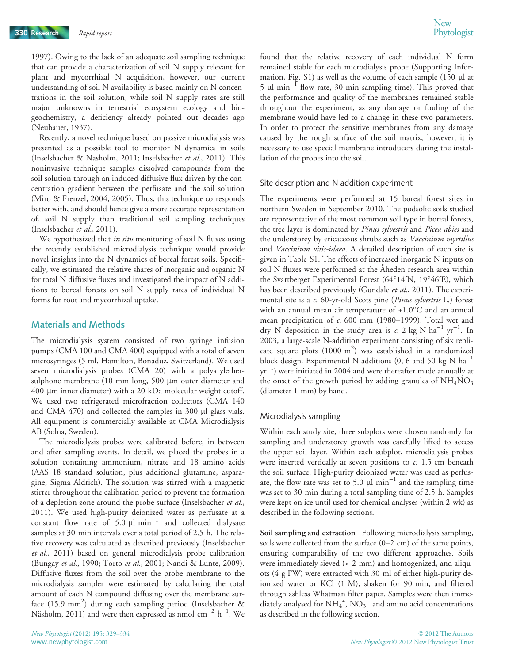1997). Owing to the lack of an adequate soil sampling technique that can provide a characterization of soil N supply relevant for plant and mycorrhizal N acquisition, however, our current understanding of soil N availability is based mainly on N concentrations in the soil solution, while soil N supply rates are still major unknowns in terrestrial ecosystem ecology and biogeochemistry, a deficiency already pointed out decades ago (Neubauer, 1937).

Recently, a novel technique based on passive microdialysis was presented as a possible tool to monitor N dynamics in soils (Inselsbacher & Näsholm, 2011; Inselsbacher et al., 2011). This noninvasive technique samples dissolved compounds from the soil solution through an induced diffusive flux driven by the concentration gradient between the perfusate and the soil solution (Miro & Frenzel, 2004, 2005). Thus, this technique corresponds better with, and should hence give a more accurate representation of, soil N supply than traditional soil sampling techniques (Inselsbacher et al., 2011).

We hypothesized that in situ monitoring of soil N fluxes using the recently established microdialysis technique would provide novel insights into the N dynamics of boreal forest soils. Specifically, we estimated the relative shares of inorganic and organic N for total N diffusive fluxes and investigated the impact of N additions to boreal forests on soil N supply rates of individual N forms for root and mycorrhizal uptake.

### Materials and Methods

The microdialysis system consisted of two syringe infusion pumps (CMA 100 and CMA 400) equipped with a total of seven microsyringes (5 ml, Hamilton, Bonaduz, Switzerland). We used seven microdialysis probes (CMA 20) with a polyarylethersulphone membrane (10 mm long, 500 µm outer diameter and 400 lm inner diameter) with a 20 kDa molecular weight cutoff. We used two refrigerated microfraction collectors (CMA 140 and CMA 470) and collected the samples in 300 µl glass vials. All equipment is commercially available at CMA Microdialysis AB (Solna, Sweden).

The microdialysis probes were calibrated before, in between and after sampling events. In detail, we placed the probes in a solution containing ammonium, nitrate and 18 amino acids (AAS 18 standard solution, plus additional glutamine, asparagine; Sigma Aldrich). The solution was stirred with a magnetic stirrer throughout the calibration period to prevent the formation of a depletion zone around the probe surface (Inselsbacher et al., 2011). We used high-purity deionized water as perfusate at a constant flow rate of 5.0  $\mu$ l min<sup>-1</sup> and collected dialysate samples at 30 min intervals over a total period of 2.5 h. The relative recovery was calculated as described previously (Inselsbacher et al., 2011) based on general microdialysis probe calibration (Bungay et al., 1990; Torto et al., 2001; Nandi & Lunte, 2009). Diffusive fluxes from the soil over the probe membrane to the microdialysis sampler were estimated by calculating the total amount of each N compound diffusing over the membrane surface (15.9 mm<sup>2</sup>) during each sampling period (Inselsbacher & Näsholm, 2011) and were then expressed as nmol  $\text{cm}^{-2}$  h<sup>-1</sup>. We

found that the relative recovery of each individual N form remained stable for each microdialysis probe (Supporting Information, Fig.  $S1$ ) as well as the volume of each sample (150  $\mu$ l at 5  $\mu$ l min<sup>-1</sup> flow rate, 30 min sampling time). This proved that the performance and quality of the membranes remained stable throughout the experiment, as any damage or fouling of the membrane would have led to a change in these two parameters. In order to protect the sensitive membranes from any damage caused by the rough surface of the soil matrix, however, it is necessary to use special membrane introducers during the installation of the probes into the soil.

#### Site description and N addition experiment

The experiments were performed at 15 boreal forest sites in northern Sweden in September 2010. The podsolic soils studied are representative of the most common soil type in boreal forests, the tree layer is dominated by Pinus sylvestris and Picea abies and the understorey by ericaceous shrubs such as Vaccinium myrtillus and Vaccinium vitis-idaea. A detailed description of each site is given in Table S1. The effects of increased inorganic N inputs on soil N fluxes were performed at the Åheden research area within the Svartberget Experimental Forest (64°14'N, 19°46'E), which has been described previously (Gundale et al., 2011). The experimental site is a c. 60-yr-old Scots pine (Pinus sylvestris L.) forest with an annual mean air temperature of  $+1.0^{\circ}$ C and an annual mean precipitation of c. 600 mm (1980–1999). Total wet and dry N deposition in the study area is c. 2 kg N ha<sup>-1</sup> yr<sup>-1</sup>. In 2003, a large-scale N-addition experiment consisting of six replicate square plots  $(1000 \text{ m}^2)$  was established in a randomized block design. Experimental N additions  $(0, 6 \text{ and } 50 \text{ kg N ha}^{-1})$  $yr^{-1}$ ) were initiated in 2004 and were thereafter made annually at the onset of the growth period by adding granules of  $NH<sub>4</sub>NO<sub>3</sub>$ (diameter 1 mm) by hand.

#### Microdialysis sampling

Within each study site, three subplots were chosen randomly for sampling and understorey growth was carefully lifted to access the upper soil layer. Within each subplot, microdialysis probes were inserted vertically at seven positions to  $c$ . 1.5 cm beneath the soil surface. High-purity deionized water was used as perfusate, the flow rate was set to 5.0  $\mu$ l min<sup>-1</sup> and the sampling time was set to 30 min during a total sampling time of 2.5 h. Samples were kept on ice until used for chemical analyses (within 2 wk) as described in the following sections.

Soil sampling and extraction Following microdialysis sampling, soils were collected from the surface (0–2 cm) of the same points, ensuring comparability of the two different approaches. Soils were immediately sieved (< 2 mm) and homogenized, and aliquots (4 g FW) were extracted with 30 ml of either high-purity deionized water or KCl (1 M), shaken for 90 min, and filtered through ashless Whatman filter paper. Samples were then immediately analysed for  $NH_4^+$ ,  $NO_3^-$  and amino acid concentrations as described in the following section.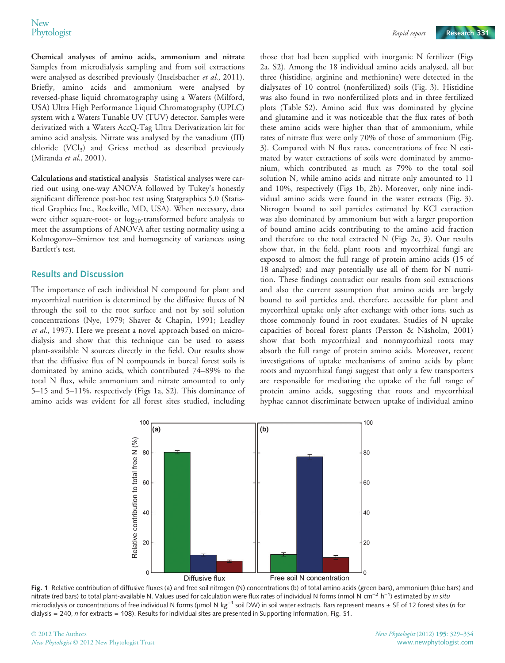Chemical analyses of amino acids, ammonium and nitrate Samples from microdialysis sampling and from soil extractions were analysed as described previously (Inselsbacher et al., 2011). Briefly, amino acids and ammonium were analysed by reversed-phase liquid chromatography using a Waters (Milford, USA) Ultra High Performance Liquid Chromatography (UPLC) system with a Waters Tunable UV (TUV) detector. Samples were derivatized with a Waters AccQ-Tag Ultra Derivatization kit for amino acid analysis. Nitrate was analysed by the vanadium (III) chloride (VCl3) and Griess method as described previously (Miranda et al., 2001).

Calculations and statistical analysis Statistical analyses were carried out using one-way ANOVA followed by Tukey's honestly significant difference post-hoc test using Statgraphics 5.0 (Statistical Graphics Inc., Rockville, MD, USA). When necessary, data were either square-root- or  $log_{10}$ -transformed before analysis to meet the assumptions of ANOVA after testing normality using a Kolmogorov–Smirnov test and homogeneity of variances using Bartlett's test.

# Results and Discussion

The importance of each individual N compound for plant and mycorrhizal nutrition is determined by the diffusive fluxes of N through the soil to the root surface and not by soil solution concentrations (Nye, 1979; Shaver & Chapin, 1991; Leadley et al., 1997). Here we present a novel approach based on microdialysis and show that this technique can be used to assess plant-available N sources directly in the field. Our results show that the diffusive flux of N compounds in boreal forest soils is dominated by amino acids, which contributed 74–89% to the total N flux, while ammonium and nitrate amounted to only 5–15 and 5–11%, respectively (Figs 1a, S2). This dominance of amino acids was evident for all forest sites studied, including

those that had been supplied with inorganic N fertilizer (Figs 2a, S2). Among the 18 individual amino acids analysed, all but three (histidine, arginine and methionine) were detected in the dialysates of 10 control (nonfertilized) soils (Fig. 3). Histidine was also found in two nonfertilized plots and in three fertilized plots (Table S2). Amino acid flux was dominated by glycine and glutamine and it was noticeable that the flux rates of both these amino acids were higher than that of ammonium, while rates of nitrate flux were only 70% of those of ammonium (Fig. 3). Compared with N flux rates, concentrations of free N estimated by water extractions of soils were dominated by ammonium, which contributed as much as 79% to the total soil solution N, while amino acids and nitrate only amounted to 11 and 10%, respectively (Figs 1b, 2b). Moreover, only nine individual amino acids were found in the water extracts (Fig. 3). Nitrogen bound to soil particles estimated by KCl extraction was also dominated by ammonium but with a larger proportion of bound amino acids contributing to the amino acid fraction and therefore to the total extracted N (Figs 2c, 3). Our results show that, in the field, plant roots and mycorrhizal fungi are exposed to almost the full range of protein amino acids (15 of 18 analysed) and may potentially use all of them for N nutrition. These findings contradict our results from soil extractions and also the current assumption that amino acids are largely bound to soil particles and, therefore, accessible for plant and mycorrhizal uptake only after exchange with other ions, such as those commonly found in root exudates. Studies of N uptake capacities of boreal forest plants (Persson & Näsholm, 2001) show that both mycorrhizal and nonmycorhizal roots may absorb the full range of protein amino acids. Moreover, recent investigations of uptake mechanisms of amino acids by plant roots and mycorrhizal fungi suggest that only a few transporters are responsible for mediating the uptake of the full range of protein amino acids, suggesting that roots and mycorrhizal hyphae cannot discriminate between uptake of individual amino



Fig. 1 Relative contribution of diffusive fluxes (a) and free soil nitrogen (N) concentrations (b) of total amino acids (green bars), ammonium (blue bars) and nitrate (red bars) to total plant-available N. Values used for calculation were flux rates of individual N forms (nmol N cm<sup>-2</sup> h<sup>-1</sup>) estimated by *in situ* microdialysis or concentrations of free individual N forms (µmol N kg<sup>-1</sup> soil DW) in soil water extracts. Bars represent means  $\pm$  SE of 12 forest sites (*n* for dialysis = 240, n for extracts = 108). Results for individual sites are presented in Supporting Information, Fig. S1.

© 2012 The Authors New Phytologist © 2012 New Phytologist Trust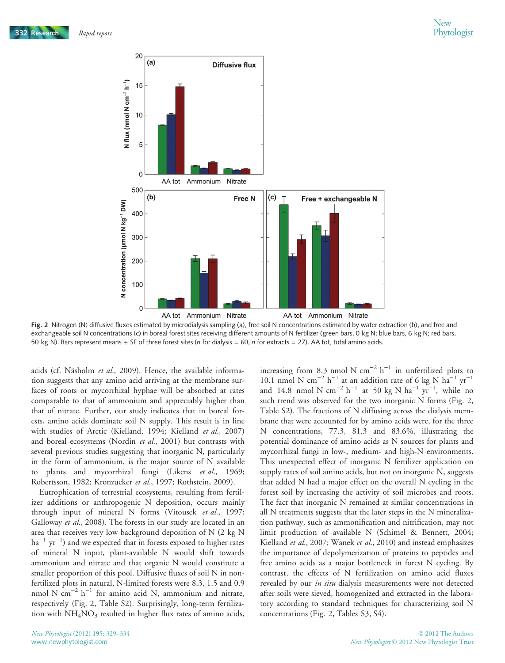

Fig. 2 Nitrogen (N) diffusive fluxes estimated by microdialysis sampling (a), free soil N concentrations estimated by water extraction (b), and free and exchangeable soil N concentrations (c) in boreal forest sites receiving different amounts of N fertilizer (green bars, 0 kg N; blue bars, 6 kg N; red bars, 50 kg N). Bars represent means  $\pm$  SE of three forest sites (*n* for dialysis = 60, *n* for extracts = 27). AA tot, total amino acids.

acids (cf. Näsholm et al., 2009). Hence, the available information suggests that any amino acid arriving at the membrane surfaces of roots or mycorrhizal hyphae will be absorbed at rates comparable to that of ammonium and appreciably higher than that of nitrate. Further, our study indicates that in boreal forests, amino acids dominate soil N supply. This result is in line with studies of Arctic (Kielland, 1994; Kielland et al., 2007) and boreal ecosystems (Nordin et al., 2001) but contrasts with several previous studies suggesting that inorganic N, particularly in the form of ammonium, is the major source of N available to plants and mycorrhizal fungi (Likens et al., 1969; Robertsson, 1982; Kronzucker et al., 1997; Rothstein, 2009).

Eutrophication of terrestrial ecosystems, resulting from fertilizer additions or anthropogenic N deposition, occurs mainly through input of mineral N forms (Vitousek et al., 1997; Galloway et al., 2008). The forests in our study are located in an area that receives very low background deposition of N (2 kg N  $ha^{-1}$  yr<sup>-1</sup>) and we expected that in forests exposed to higher rates of mineral N input, plant-available N would shift towards ammonium and nitrate and that organic N would constitute a smaller proportion of this pool. Diffusive fluxes of soil N in nonfertilized plots in natural, N-limited forests were 8.3, 1.5 and 0.9 nmol N cm<sup>-2</sup> h<sup>-1</sup> for amino acid N, ammonium and nitrate, respectively (Fig. 2, Table S2). Surprisingly, long-term fertilization with  $NH<sub>4</sub>NO<sub>3</sub>$  resulted in higher flux rates of amino acids,

increasing from 8.3 nmol N cm<sup>-2</sup> h<sup>-1</sup> in unfertilized plots to 10.1 nmol N cm<sup>-2</sup> h<sup>-1</sup> at an addition rate of 6 kg N ha<sup>-1</sup> yr<sup>-1</sup> and 14.8 nmol N  $cm^{-2} h^{-1}$  at 50 kg N  $ha^{-1} yr^{-1}$ , while no such trend was observed for the two inorganic N forms (Fig. 2, Table S2). The fractions of N diffusing across the dialysis membrane that were accounted for by amino acids were, for the three N concentrations, 77.3, 81.3 and 83.6%, illustrating the potential dominance of amino acids as N sources for plants and mycorrhizal fungi in low-, medium- and high-N environments. This unexpected effect of inorganic N fertilizer application on supply rates of soil amino acids, but not on inorganic N, suggests that added N had a major effect on the overall N cycling in the forest soil by increasing the activity of soil microbes and roots. The fact that inorganic N remained at similar concentrations in all N treatments suggests that the later steps in the N mineralization pathway, such as ammonification and nitrification, may not limit production of available N (Schimel & Bennett, 2004; Kielland et al., 2007; Wanek et al., 2010) and instead emphasizes the importance of depolymerization of proteins to peptides and free amino acids as a major bottleneck in forest N cycling. By contrast, the effects of N fertilization on amino acid fluxes revealed by our *in situ* dialysis measurements were not detected after soils were sieved, homogenized and extracted in the laboratory according to standard techniques for characterizing soil N concentrations (Fig. 2, Tables S3, S4).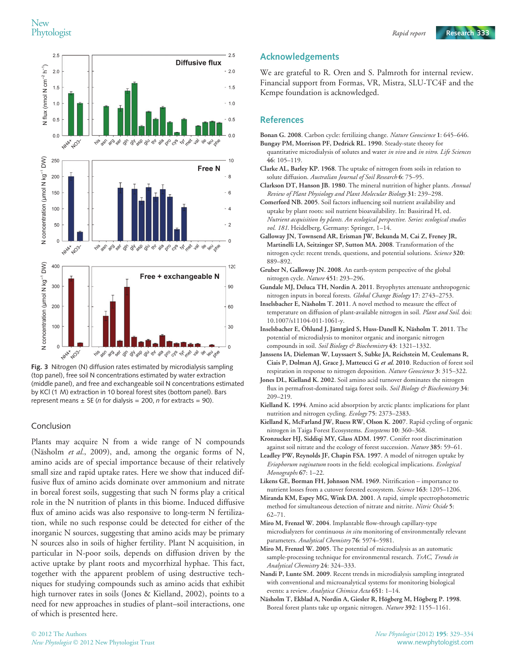

Fig. 3 Nitrogen (N) diffusion rates estimated by microdialysis sampling (top panel), free soil N concentrations estimated by water extraction (middle panel), and free and exchangeable soil N concentrations estimated by KCl (1 M) extraction in 10 boreal forest sites (bottom panel). Bars represent means  $\pm$  SE (*n* for dialysis = 200, *n* for extracts = 90).

#### Conclusion

Plants may acquire N from a wide range of N compounds (Näsholm *et al.*, 2009), and, among the organic forms of N, amino acids are of special importance because of their relatively small size and rapid uptake rates. Here we show that induced diffusive flux of amino acids dominate over ammonium and nitrate in boreal forest soils, suggesting that such N forms play a critical role in the N nutrition of plants in this biome. Induced diffusive flux of amino acids was also responsive to long-term N fertilization, while no such response could be detected for either of the inorganic N sources, suggesting that amino acids may be primary N sources also in soils of higher fertility. Plant N acquisition, in particular in N-poor soils, depends on diffusion driven by the active uptake by plant roots and mycorrhizal hyphae. This fact, together with the apparent problem of using destructive techniques for studying compounds such as amino acids that exhibit high turnover rates in soils (Jones & Kielland, 2002), points to a need for new approaches in studies of plant–soil interactions, one of which is presented here.

#### Acknowledgements

We are grateful to R. Oren and S. Palmroth for internal review. Financial support from Formas, VR, Mistra, SLU-TC4F and the Kempe foundation is acknowledged.

### References

- Bonan G. 2008. Carbon cycle: fertilizing change. Nature Geoscience 1: 645–646.
- Bungay PM, Morrison PF, Dedrick RL. 1990. Steady-state theory for quantitative microdialysis of solutes and water in vivo and in vitro. Life Sciences 46: 105–119.
- Clarke AL, Barley KP. 1968. The uptake of nitrogen from soils in relation to solute diffusion. Australian Journal of Soil Research 6: 75-95.
- Clarkson DT, Hanson JB. 1980. The mineral nutrition of higher plants. Annual Review of Plant Physiology and Plant Molecular Biology 31: 239–298.
- Comerford NB. 2005. Soil factors influencing soil nutrient availability and uptake by plant roots: soil nutrient bioavailability. In: Bassirirad H, ed. Nutrient acquisition by plants. An ecological perspective. Series: ecological studies vol. 181. Heidelberg, Germany: Springer, 1-14.
- Galloway JN, Townsend AR, Erisman JW, Bekunda M, Cai Z, Freney JR, Martinelli LA, Seitzinger SP, Sutton MA. 2008. Transformation of the nitrogen cycle: recent trends, questions, and potential solutions. Science 320: 889–892.
- Gruber N, Galloway JN. 2008. An earth-system perspective of the global nitrogen cycle. Nature 451: 293–296.
- Gundale MJ, Deluca TH, Nordin A. 2011. Bryophytes attenuate anthropogenic nitrogen inputs in boreal forests. Global Change Biology 17: 2743–2753.
- Inselsbacher E, Näsholm T. 2011. A novel method to measure the effect of temperature on diffusion of plant-available nitrogen in soil. Plant and Soil. doi: 10.1007/s11104-011-1061-y.
- Inselsbacher E, Öhlund J, Jämtgård S, Huss-Danell K, Näsholm T. 2011. The potential of microdialysis to monitor organic and inorganic nitrogen compounds in soil. Soil Biology & Biochemistry 43: 1321-1332.
- Janssens IA, Dieleman W, Luyssaert S, Subke JA, Reichstein M, Ceulemans R, Ciais P, Dolman AJ, Grace J, Matteucci G et al. 2010. Reduction of forest soil respiration in response to nitrogen deposition. Nature Geoscience 3: 315–322.
- Jones DL, Kielland K. 2002. Soil amino acid turnover dominates the nitrogen flux in permafrost-dominated taiga forest soils. Soil Biology & Biochemistry 34: 209–219.
- Kielland K. 1994. Amino acid absorption by arctic plants: implications for plant nutrition and nitrogen cycling. Ecology 75: 2373–2383.
- Kielland K, McFarland JW, Ruess RW, Olson K. 2007. Rapid cycling of organic nitrogen in Taiga Forest Ecosystems. Ecosystems 10: 360–368.
- Kronzucker HJ, Siddiqi MY, Glass ADM. 1997. Conifer root discrimination against soil nitrate and the ecology of forest succession. Nature 385: 59-61.
- Leadley PW, Reynolds JF, Chapin FSA. 1997. A model of nitrogen uptake by Eriophorum vaginatum roots in the field: ecological implications. Ecological Monographs 67: 1–22.
- Likens GE, Borman FH, Johnson NM. 1969. Nitrification importance to nutrient losses from a cutover forested ecosystem. Science 163: 1205-1206.
- Miranda KM, Espey MG, Wink DA. 2001. A rapid, simple spectrophotometric method for simultaneous detection of nitrate and nitrite. Nitric Oxide 5: 62–71.
- Miro M, Frenzel W. 2004. Implantable flow-through capillary-type microdialyzers for continuous in situ monitoring of environmentally relevant parameters. Analytical Chemistry 76: 5974-5981.
- Miro M, Frenzel W. 2005. The potential of microdialysis as an automatic sample-processing technique for environmental research. TrAC, Trends in Analytical Chemistry 24: 324–333.
- Nandi P, Lunte SM. 2009. Recent trends in microdialysis sampling integrated with conventional and microanalytical systems for monitoring biological events: a review. Analytica Chimica Acta 651: 1-14.
- Näsholm T, Ekblad A, Nordin A, Giesler R, Högberg M, Högberg P. 1998. Boreal forest plants take up organic nitrogen. Nature 392: 1155–1161.